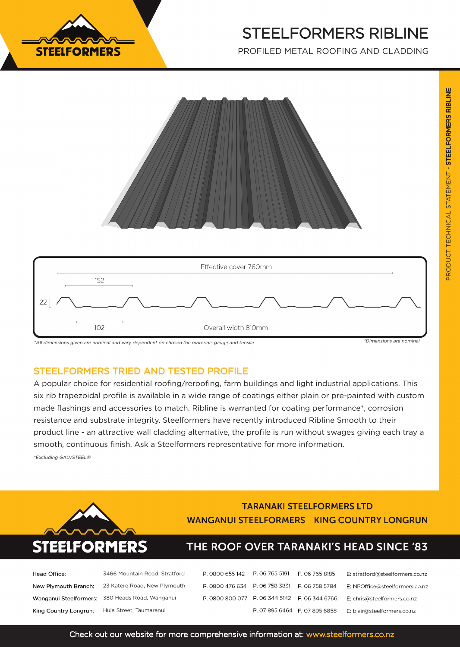

# STEELFORMERS RIBLINE

PROFILED METAL ROOFING AND CLADDING





^All dimensions given are nominal and vary dependent on chosen the materials gauge and tensile

\*Dimensions are nomina

### STEELFORMERS TRIED AND TESTED PROFILE

A popular choice for residential roofing/reroofing, farm buildings and light industrial applications. This six rib trapezoidal profile is available in a wide range of coatings either plain or pre-painted with custom made flashings and accessories to match. Ribline is warranted for coating performance\*, corrosion resistance and substrate integrity. Steelformers have recently introduced Ribline Smooth to their product line - an attractive wall cladding alternative, the profile is run without swages giving each tray a smooth, continuous finish. Ask a Steelformers representative for more information.

\*Excluding GALVSTEEL®



### **TARANAKI STEELFORMERS LTD WANGANUI STEELFORMERS KING COUNTRY LONGRUN**

### THE ROOF OVER TARANAKI'S HEAD SINCE '83

| Head Office:          | 3466 Mountain Road, Stratford                   |  |
|-----------------------|-------------------------------------------------|--|
| New Plymouth Branch:  | 23 Katere Road, New Plymouth                    |  |
|                       | Wanganui Steelformers: 380 Heads Road, Wanganui |  |
| King Country Longrun: | Huia Street, Taumaranui                         |  |

| P. 0800 655 142 P. 06 765 5191 F. 06 765 8185 |                               | E: stratford@steelformers.co.nz |
|-----------------------------------------------|-------------------------------|---------------------------------|
| P. 0800 476 634 P. 06 758 3831 F. 06 758 5784 |                               | E: NPOffice@steelformers.co.nz  |
| P. 0800 800 077 P. 06 344 5142 F. 06 344 6766 |                               | E: chris@steelformers.co.nz     |
|                                               | P. 07 895 6464 F. 07 895 6858 | E: blair@steelformers.co.nz     |